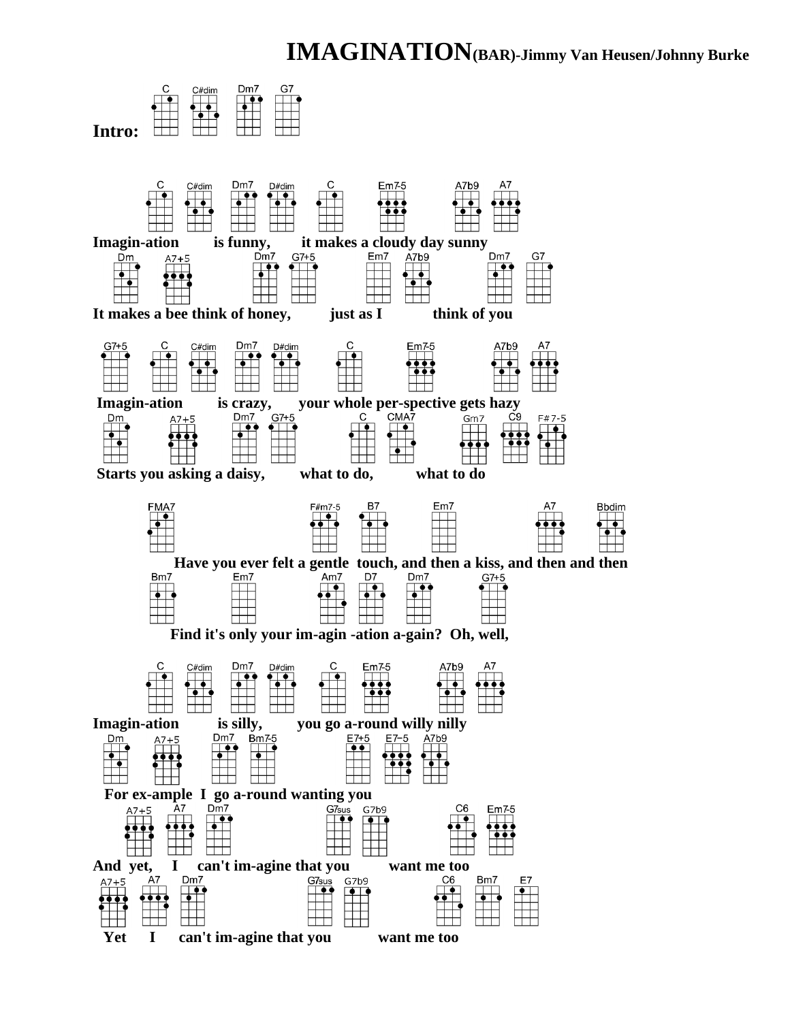## **IMAGINATION(BAR)-Jimmy Van Heusen/Johnny Burke**